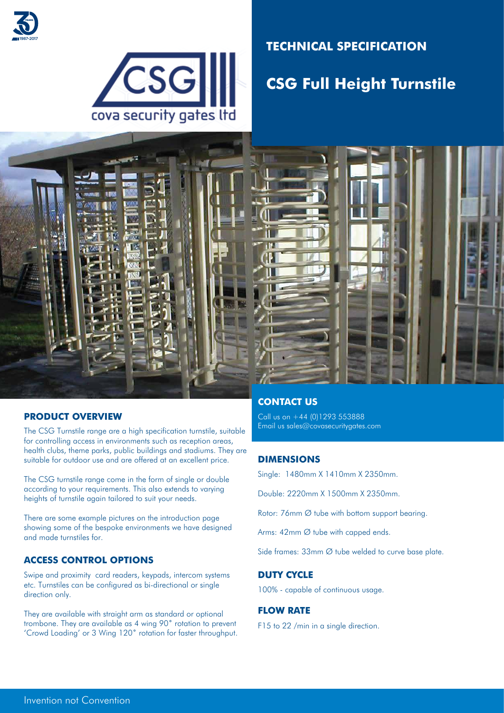



## **TECHNICAL SPECIFICATION**

# **CSG Full Height Turnstile**



### **PRODUCT OVERVIEW**

The CSG Turnstile range are a high specification turnstile, suitable for controlling access in environments such as reception areas, health clubs, theme parks, public buildings and stadiums. They are suitable for outdoor use and are offered at an excellent price.

The CSG turnstile range come in the form of single or double according to your requirements. This also extends to varying heights of turnstile again tailored to suit your needs.

There are some example pictures on the introduction page showing some of the bespoke environments we have designed and made turnstiles for.

#### **ACCESS CONTROL OPTIONS**

Swipe and proximity card readers, keypads, intercom systems etc. Turnstiles can be configured as bi-directional or single direction only.

They are available with straight arm as standard or optional trombone. They are available as 4 wing 90˚ rotation to prevent 'Crowd Loading' or 3 Wing 120˚ rotation for faster throughput.

## **CONTACT US**

Call us on +44 (0)1293 553888 Email us sales@covasecuritygates.com

### **DIMENSIONS**

Single: 1480mm X 1410mm X 2350mm.

Double: 2220mm X 1500mm X 2350mm.

Rotor: 76mm Ø tube with bottom support bearing.

Arms: 42mm Ø tube with capped ends.

Side frames: 33mm Ø tube welded to curve base plate.

#### **DUTY CYCLE**

100% - capable of continuous usage.

#### **FLOW RATE**

F15 to 22 /min in a single direction.